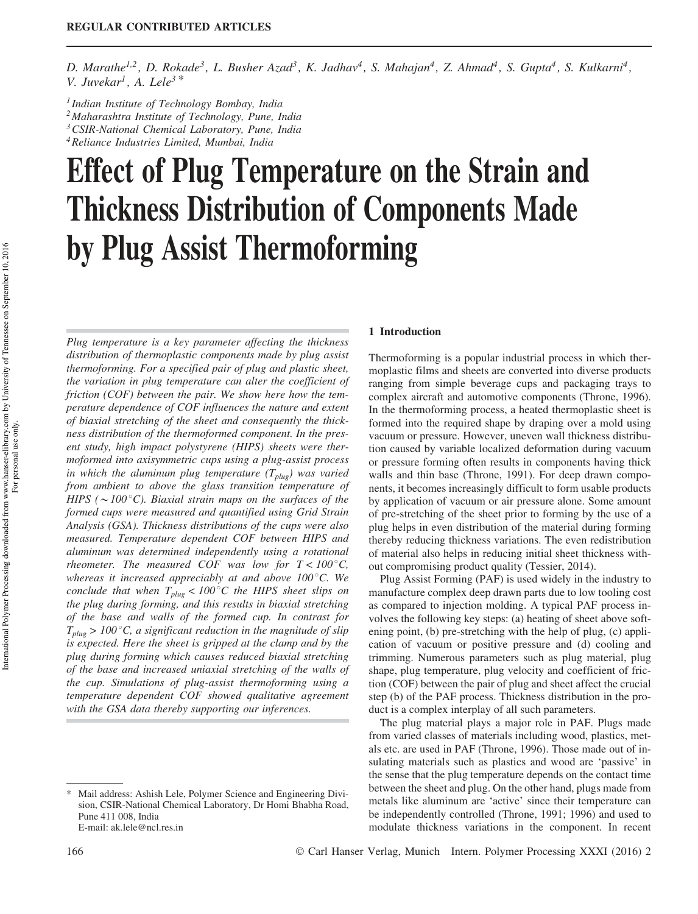D. Marathe<sup>1,2</sup>, D. Rokade<sup>3</sup>, L. Busher Azad<sup>3</sup>, K. Jadhav<sup>4</sup>, S. Mahajan<sup>4</sup>, Z. Ahmad<sup>4</sup>, S. Gupta<sup>4</sup>, S. Kulkarni<sup>4</sup>, *V. Juvekar<sup>1</sup> , A. Lele<sup>3</sup> \**

*1 Indian Institute of Technology Bombay, India*

*<sup>2</sup>Maharashtra Institute of Technology, Pune, India*

*<sup>3</sup>CSIR-National Chemical Laboratory, Pune, India*

*<sup>4</sup>Reliance Industries Limited, Mumbai, India*

# Effect of Plug Temperature on the Strain and Thickness Distribution of Components Made by Plug Assist Thermoforming

*Plug temperature is a key parameter affecting the thickness distribution of thermoplastic components made by plug assist thermoforming. For a specified pair of plug and plastic sheet, the variation in plug temperature can alter the coefficient of friction (COF) between the pair. We show here how the temperature dependence of COF influences the nature and extent of biaxial stretching of the sheet and consequently the thickness distribution of the thermoformed component. In the present study, high impact polystyrene (HIPS) sheets were thermoformed into axisymmetric cups using a plug-assist process in which the aluminum plug temperature (Tplug) was varied from ambient to above the glass transition temperature of HIPS (* $\sim$ *100* $^{\circ}$ C). *Biaxial strain maps on the surfaces of the formed cups were measured and quantified using Grid Strain Analysis (GSA). Thickness distributions of the cups were also measured. Temperature dependent COF between HIPS and aluminum was determined independently using a rotational rheometer. The measured COF was low for*  $T < 100^{\circ}$ *C, whereas it increased appreciably at and above 100<sup>°</sup>C. We conclude that when*  $T_{plug}$  <  $100^{\circ}$ C the HIPS sheet slips on *the plug during forming, and this results in biaxial stretching of the base and walls of the formed cup. In contrast for*  $T_{plug}$  > 100 $^{\circ}$ C, a significant reduction in the magnitude of slip *is expected. Here the sheet is gripped at the clamp and by the plug during forming which causes reduced biaxial stretching of the base and increased uniaxial stretching of the walls of the cup. Simulations of plug-assist thermoforming using a temperature dependent COF showed qualitative agreement with the GSA data thereby supporting our inferences.*

## 1 Introduction

Thermoforming is a popular industrial process in which thermoplastic films and sheets are converted into diverse products ranging from simple beverage cups and packaging trays to complex aircraft and automotive components (Throne, 1996). In the thermoforming process, a heated thermoplastic sheet is formed into the required shape by draping over a mold using vacuum or pressure. However, uneven wall thickness distribution caused by variable localized deformation during vacuum or pressure forming often results in components having thick walls and thin base (Throne, 1991). For deep drawn components, it becomes increasingly difficult to form usable products by application of vacuum or air pressure alone. Some amount of pre-stretching of the sheet prior to forming by the use of a plug helps in even distribution of the material during forming thereby reducing thickness variations. The even redistribution of material also helps in reducing initial sheet thickness without compromising product quality (Tessier, 2014).

Plug Assist Forming (PAF) is used widely in the industry to manufacture complex deep drawn parts due to low tooling cost as compared to injection molding. A typical PAF process involves the following key steps: (a) heating of sheet above softening point, (b) pre-stretching with the help of plug, (c) application of vacuum or positive pressure and (d) cooling and trimming. Numerous parameters such as plug material, plug shape, plug temperature, plug velocity and coefficient of friction (COF) between the pair of plug and sheet affect the crucial step (b) of the PAF process. Thickness distribution in the product is a complex interplay of all such parameters.

The plug material plays a major role in PAF. Plugs made from varied classes of materials including wood, plastics, metals etc. are used in PAF (Throne, 1996). Those made out of insulating materials such as plastics and wood are 'passive' in the sense that the plug temperature depends on the contact time between the sheet and plug. On the other hand, plugs made from metals like aluminum are 'active' since their temperature can be independently controlled (Throne, 1991; 1996) and used to modulate thickness variations in the component. In recent

<sup>\*</sup> Mail address: Ashish Lele, Polymer Science and Engineering Division, CSIR-National Chemical Laboratory, Dr Homi Bhabha Road, Pune 411 008, India E-mail: ak.lele@ncl.res.in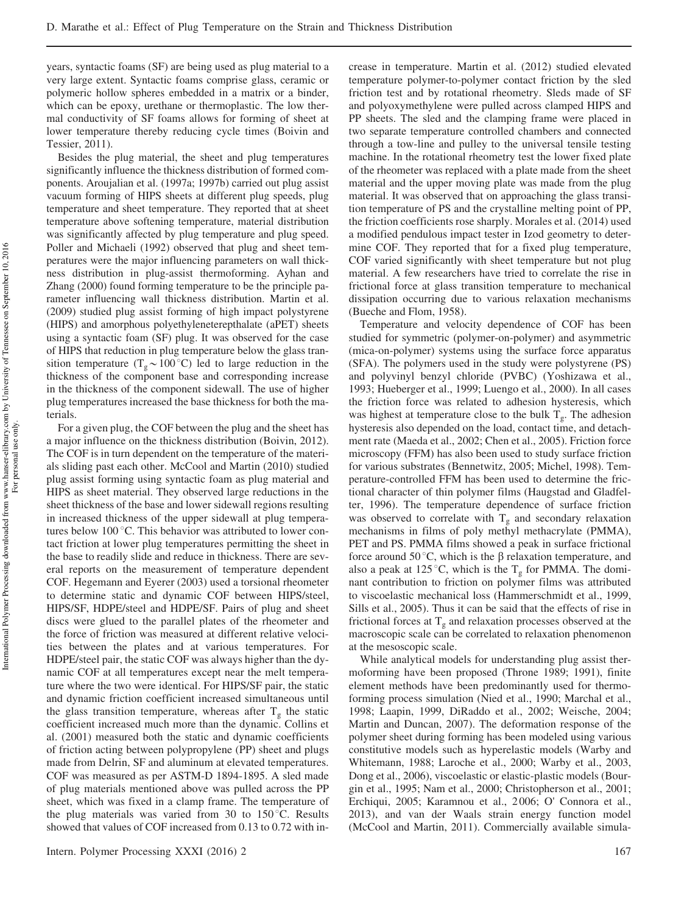years, syntactic foams (SF) are being used as plug material to a very large extent. Syntactic foams comprise glass, ceramic or polymeric hollow spheres embedded in a matrix or a binder, which can be epoxy, urethane or thermoplastic. The low thermal conductivity of SF foams allows for forming of sheet at lower temperature thereby reducing cycle times (Boivin and Tessier, 2011).

Besides the plug material, the sheet and plug temperatures significantly influence the thickness distribution of formed components. Aroujalian et al. (1997a; 1997b) carried out plug assist vacuum forming of HIPS sheets at different plug speeds, plug temperature and sheet temperature. They reported that at sheet temperature above softening temperature, material distribution was significantly affected by plug temperature and plug speed. Poller and Michaeli (1992) observed that plug and sheet temperatures were the major influencing parameters on wall thickness distribution in plug-assist thermoforming. Ayhan and Zhang (2000) found forming temperature to be the principle parameter influencing wall thickness distribution. Martin et al. (2009) studied plug assist forming of high impact polystyrene (HIPS) and amorphous polyethyleneterepthalate (aPET) sheets using a syntactic foam (SF) plug. It was observed for the case of HIPS that reduction in plug temperature below the glass transition temperature ( $T_g \sim 100\degree C$ ) led to large reduction in the thickness of the component base and corresponding increase in the thickness of the component sidewall. The use of higher plug temperatures increased the base thickness for both the materials.

For a given plug, the COF between the plug and the sheet has a major influence on the thickness distribution (Boivin, 2012). The COF is in turn dependent on the temperature of the materials sliding past each other. McCool and Martin (2010) studied plug assist forming using syntactic foam as plug material and HIPS as sheet material. They observed large reductions in the sheet thickness of the base and lower sidewall regions resulting in increased thickness of the upper sidewall at plug temperatures below  $100^{\circ}$ C. This behavior was attributed to lower contact friction at lower plug temperatures permitting the sheet in the base to readily slide and reduce in thickness. There are several reports on the measurement of temperature dependent COF. Hegemann and Eyerer (2003) used a torsional rheometer to determine static and dynamic COF between HIPS/steel, HIPS/SF, HDPE/steel and HDPE/SF. Pairs of plug and sheet discs were glued to the parallel plates of the rheometer and the force of friction was measured at different relative velocities between the plates and at various temperatures. For HDPE/steel pair, the static COF was always higher than the dynamic COF at all temperatures except near the melt temperature where the two were identical. For HIPS/SF pair, the static and dynamic friction coefficient increased simultaneous until the glass transition temperature, whereas after  $T_g$  the static coefficient increased much more than the dynamic. Collins et al. (2001) measured both the static and dynamic coefficients of friction acting between polypropylene (PP) sheet and plugs made from Delrin, SF and aluminum at elevated temperatures. COF was measured as per ASTM-D 1894-1895. A sled made of plug materials mentioned above was pulled across the PP sheet, which was fixed in a clamp frame. The temperature of the plug materials was varied from 30 to  $150^{\circ}$ C. Results showed that values of COF increased from 0.13 to 0.72 with in-

Intern. Polymer Processing XXXI (2016) 2 167

crease in temperature. Martin et al. (2012) studied elevated temperature polymer-to-polymer contact friction by the sled friction test and by rotational rheometry. Sleds made of SF and polyoxymethylene were pulled across clamped HIPS and PP sheets. The sled and the clamping frame were placed in two separate temperature controlled chambers and connected through a tow-line and pulley to the universal tensile testing machine. In the rotational rheometry test the lower fixed plate of the rheometer was replaced with a plate made from the sheet material and the upper moving plate was made from the plug material. It was observed that on approaching the glass transition temperature of PS and the crystalline melting point of PP, the friction coefficients rose sharply. Morales et al. (2014) used a modified pendulous impact tester in Izod geometry to determine COF. They reported that for a fixed plug temperature, COF varied significantly with sheet temperature but not plug material. A few researchers have tried to correlate the rise in frictional force at glass transition temperature to mechanical dissipation occurring due to various relaxation mechanisms (Bueche and Flom, 1958).

Temperature and velocity dependence of COF has been studied for symmetric (polymer-on-polymer) and asymmetric (mica-on-polymer) systems using the surface force apparatus (SFA). The polymers used in the study were polystyrene (PS) and polyvinyl benzyl chloride (PVBC) (Yoshizawa et al., 1993; Hueberger et al., 1999; Luengo et al., 2000). In all cases the friction force was related to adhesion hysteresis, which was highest at temperature close to the bulk  $T_g$ . The adhesion hysteresis also depended on the load, contact time, and detachment rate (Maeda et al., 2002; Chen et al., 2005). Friction force microscopy (FFM) has also been used to study surface friction for various substrates (Bennetwitz, 2005; Michel, 1998). Temperature-controlled FFM has been used to determine the frictional character of thin polymer films (Haugstad and Gladfelter, 1996). The temperature dependence of surface friction was observed to correlate with  $T_g$  and secondary relaxation mechanisms in films of poly methyl methacrylate (PMMA), PET and PS. PMMA films showed a peak in surface frictional force around 50 °C, which is the  $\beta$  relaxation temperature, and also a peak at 125 °C, which is the  $T_g$  for PMMA. The dominant contribution to friction on polymer films was attributed to viscoelastic mechanical loss (Hammerschmidt et al., 1999, Sills et al., 2005). Thus it can be said that the effects of rise in frictional forces at  $T_g$  and relaxation processes observed at the macroscopic scale can be correlated to relaxation phenomenon at the mesoscopic scale.

While analytical models for understanding plug assist thermoforming have been proposed (Throne 1989; 1991), finite element methods have been predominantly used for thermoforming process simulation (Nied et al., 1990; Marchal et al., 1998; Laapin, 1999, DiRaddo et al., 2002; Weische, 2004; Martin and Duncan, 2007). The deformation response of the polymer sheet during forming has been modeled using various constitutive models such as hyperelastic models (Warby and Whitemann, 1988; Laroche et al., 2000; Warby et al., 2003, Dong et al., 2006), viscoelastic or elastic-plastic models (Bourgin et al., 1995; Nam et al., 2000; Christopherson et al., 2001; Erchiqui, 2005; Karamnou et al., 2 006; O' Connora et al., 2013), and van der Waals strain energy function model (McCool and Martin, 2011). Commercially available simula-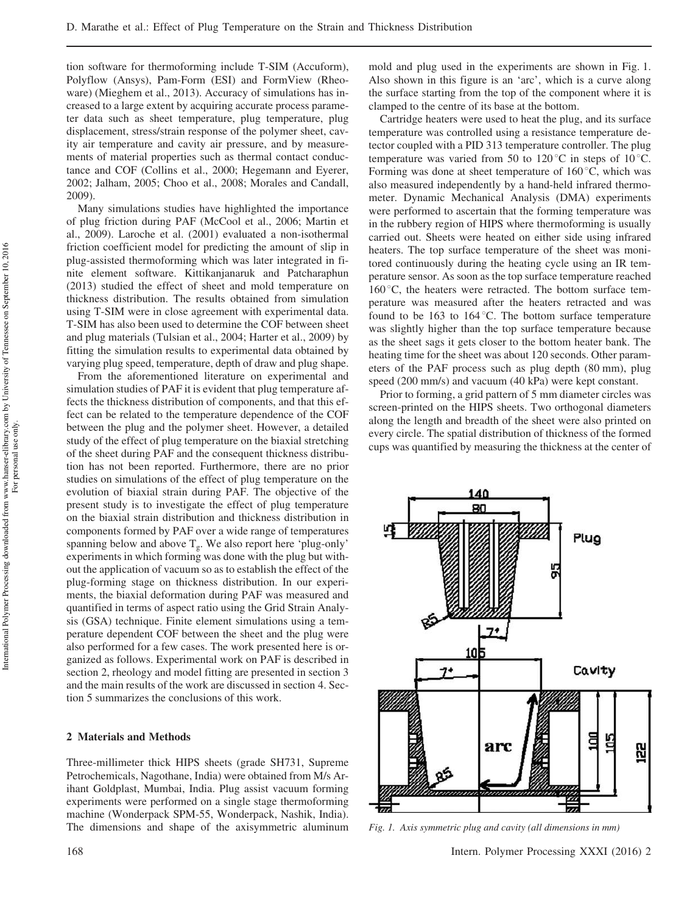tion software for thermoforming include T-SIM (Accuform), Polyflow (Ansys), Pam-Form (ESI) and FormView (Rheoware) (Mieghem et al., 2013). Accuracy of simulations has increased to a large extent by acquiring accurate process parameter data such as sheet temperature, plug temperature, plug displacement, stress/strain response of the polymer sheet, cavity air temperature and cavity air pressure, and by measurements of material properties such as thermal contact conductance and COF (Collins et al., 2000; Hegemann and Eyerer, 2002; Jalham, 2005; Choo et al., 2008; Morales and Candall, 2009).

Many simulations studies have highlighted the importance of plug friction during PAF (McCool et al., 2006; Martin et al., 2009). Laroche et al. (2001) evaluated a non-isothermal friction coefficient model for predicting the amount of slip in plug-assisted thermoforming which was later integrated in finite element software. Kittikanjanaruk and Patcharaphun (2013) studied the effect of sheet and mold temperature on thickness distribution. The results obtained from simulation using T-SIM were in close agreement with experimental data. T-SIM has also been used to determine the COF between sheet and plug materials (Tulsian et al., 2004; Harter et al., 2009) by fitting the simulation results to experimental data obtained by varying plug speed, temperature, depth of draw and plug shape.

From the aforementioned literature on experimental and simulation studies of PAF it is evident that plug temperature affects the thickness distribution of components, and that this effect can be related to the temperature dependence of the COF between the plug and the polymer sheet. However, a detailed study of the effect of plug temperature on the biaxial stretching of the sheet during PAF and the consequent thickness distribution has not been reported. Furthermore, there are no prior studies on simulations of the effect of plug temperature on the evolution of biaxial strain during PAF. The objective of the present study is to investigate the effect of plug temperature on the biaxial strain distribution and thickness distribution in components formed by PAF over a wide range of temperatures spanning below and above  $T_g$ . We also report here 'plug-only' experiments in which forming was done with the plug but without the application of vacuum so as to establish the effect of the plug-forming stage on thickness distribution. In our experiments, the biaxial deformation during PAF was measured and quantified in terms of aspect ratio using the Grid Strain Analysis (GSA) technique. Finite element simulations using a temperature dependent COF between the sheet and the plug were also performed for a few cases. The work presented here is organized as follows. Experimental work on PAF is described in section 2, rheology and model fitting are presented in section 3 and the main results of the work are discussed in section 4. Section 5 summarizes the conclusions of this work.

#### 2 Materials and Methods

Three-millimeter thick HIPS sheets (grade SH731, Supreme Petrochemicals, Nagothane, India) were obtained from M/s Arihant Goldplast, Mumbai, India. Plug assist vacuum forming experiments were performed on a single stage thermoforming machine (Wonderpack SPM-55, Wonderpack, Nashik, India). The dimensions and shape of the axisymmetric aluminum mold and plug used in the experiments are shown in Fig. 1. Also shown in this figure is an 'arc', which is a curve along the surface starting from the top of the component where it is clamped to the centre of its base at the bottom.

Cartridge heaters were used to heat the plug, and its surface temperature was controlled using a resistance temperature detector coupled with a PID 313 temperature controller. The plug temperature was varied from 50 to 120 $^{\circ}$ C in steps of 10 $^{\circ}$ C. Forming was done at sheet temperature of  $160^{\circ}$ C, which was also measured independently by a hand-held infrared thermometer. Dynamic Mechanical Analysis (DMA) experiments were performed to ascertain that the forming temperature was in the rubbery region of HIPS where thermoforming is usually carried out. Sheets were heated on either side using infrared heaters. The top surface temperature of the sheet was monitored continuously during the heating cycle using an IR temperature sensor. As soon as the top surface temperature reached  $160^{\circ}$ C, the heaters were retracted. The bottom surface temperature was measured after the heaters retracted and was found to be 163 to 164 $^{\circ}$ C. The bottom surface temperature was slightly higher than the top surface temperature because as the sheet sags it gets closer to the bottom heater bank. The heating time for the sheet was about 120 seconds. Other parameters of the PAF process such as plug depth (80 mm), plug speed (200 mm/s) and vacuum (40 kPa) were kept constant.

Prior to forming, a grid pattern of 5 mm diameter circles was screen-printed on the HIPS sheets. Two orthogonal diameters along the length and breadth of the sheet were also printed on every circle. The spatial distribution of thickness of the formed cups was quantified by measuring the thickness at the center of



*Fig. 1. Axis symmetric plug and cavity (all dimensions in mm)*

For personal use only.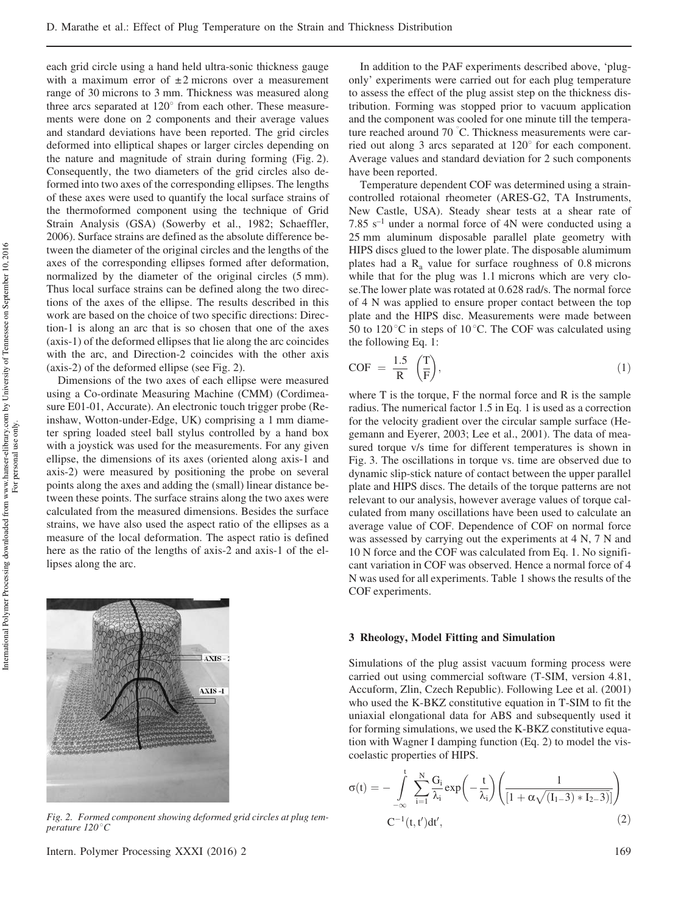each grid circle using a hand held ultra-sonic thickness gauge with a maximum error of  $\pm 2$  microns over a measurement range of 30 microns to 3 mm. Thickness was measured along three arcs separated at  $120^{\circ}$  from each other. These measurements were done on 2 components and their average values and standard deviations have been reported. The grid circles deformed into elliptical shapes or larger circles depending on the nature and magnitude of strain during forming (Fig. 2). Consequently, the two diameters of the grid circles also deformed into two axes of the corresponding ellipses. The lengths of these axes were used to quantify the local surface strains of the thermoformed component using the technique of Grid Strain Analysis (GSA) (Sowerby et al., 1982; Schaeffler, 2006). Surface strains are defined as the absolute difference between the diameter of the original circles and the lengths of the axes of the corresponding ellipses formed after deformation, normalized by the diameter of the original circles (5 mm). Thus local surface strains can be defined along the two directions of the axes of the ellipse. The results described in this work are based on the choice of two specific directions: Direction-1 is along an arc that is so chosen that one of the axes (axis-1) of the deformed ellipses that lie along the arc coincides with the arc, and Direction-2 coincides with the other axis (axis-2) of the deformed ellipse (see Fig. 2).

Dimensions of the two axes of each ellipse were measured using a Co-ordinate Measuring Machine (CMM) (Cordimeasure E01-01, Accurate). An electronic touch trigger probe (Reinshaw, Wotton-under-Edge, UK) comprising a 1 mm diameter spring loaded steel ball stylus controlled by a hand box with a joystick was used for the measurements. For any given ellipse, the dimensions of its axes (oriented along axis-1 and axis-2) were measured by positioning the probe on several points along the axes and adding the (small) linear distance between these points. The surface strains along the two axes were calculated from the measured dimensions. Besides the surface strains, we have also used the aspect ratio of the ellipses as a measure of the local deformation. The aspect ratio is defined here as the ratio of the lengths of axis-2 and axis-1 of the ellipses along the arc.

 $\Box$ AXIS - 2  $AXIS-1$ 

*Fig. 2. Formed component showing deformed grid circles at plug temperature* 120°*C* 

In addition to the PAF experiments described above, 'plugonly' experiments were carried out for each plug temperature to assess the effect of the plug assist step on the thickness distribution. Forming was stopped prior to vacuum application and the component was cooled for one minute till the temperature reached around 70 °C. Thickness measurements were carried out along 3 arcs separated at  $120^\circ$  for each component. Average values and standard deviation for 2 such components have been reported.

Temperature dependent COF was determined using a straincontrolled rotaional rheometer (ARES-G2, TA Instruments, New Castle, USA). Steady shear tests at a shear rate of 7.85  $s^{-1}$  under a normal force of 4N were conducted using a 25 mm aluminum disposable parallel plate geometry with HIPS discs glued to the lower plate. The disposable alumimum plates had a  $R_a$  value for surface roughness of 0.8 microns while that for the plug was 1.1 microns which are very close.The lower plate was rotated at 0.628 rad/s. The normal force of 4 N was applied to ensure proper contact between the top plate and the HIPS disc. Measurements were made between 50 to 120 $\degree$ C in steps of 10 $\degree$ C. The COF was calculated using the following Eq. 1:

$$
COF = \frac{1.5}{R} \left(\frac{T}{F}\right),\tag{1}
$$

where T is the torque, F the normal force and R is the sample radius. The numerical factor 1.5 in Eq. 1 is used as a correction for the velocity gradient over the circular sample surface (Hegemann and Eyerer, 2003; Lee et al., 2001). The data of measured torque v/s time for different temperatures is shown in Fig. 3. The oscillations in torque vs. time are observed due to dynamic slip-stick nature of contact between the upper parallel plate and HIPS discs. The details of the torque patterns are not relevant to our analysis, however average values of torque calculated from many oscillations have been used to calculate an average value of COF. Dependence of COF on normal force was assessed by carrying out the experiments at 4 N, 7 N and 10 N force and the COF was calculated from Eq. 1. No significant variation in COF was observed. Hence a normal force of 4 N was used for all experiments. Table 1 shows the results of the COF experiments.

#### 3 Rheology, Model Fitting and Simulation

Simulations of the plug assist vacuum forming process were carried out using commercial software (T-SIM, version 4.81, Accuform, Zlin, Czech Republic). Following Lee et al. (2001) who used the K-BKZ constitutive equation in T-SIM to fit the uniaxial elongational data for ABS and subsequently used it for forming simulations, we used the K-BKZ constitutive equation with Wagner I damping function (Eq. 2) to model the viscoelastic properties of HIPS.

$$
\sigma(t) = -\int\limits_{-\infty}^{t} \sum\limits_{i=1}^{N} \frac{G_i}{\lambda_i} \exp\left(-\frac{t}{\lambda_i}\right) \left(\frac{1}{\left[1 + \alpha \sqrt{\left(I_1 - 3\right) * I_2 - 3}\right]}\right)
$$
  

$$
C^{-1}(t, t') dt',
$$
 (2)

International Polymer Processing downloaded from www.hanser-elibrary.com by University of Tennessee on September 10, 2016 International Polymer Processing downloaded from www.hanser-elibrary.com by University of Tennessee on September 10, 2016

For personal use only.

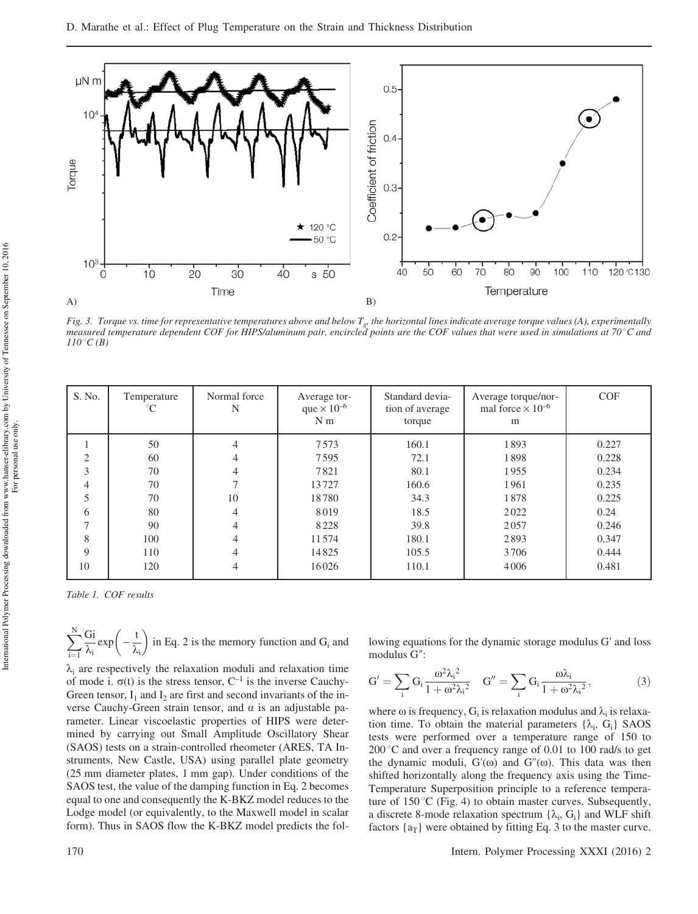

*Fig. 3. Torque vs. time for representative temperatures above and below T<sup>g</sup> , the horizontal lines indicate average torque values (A), experimentally measured temperature dependent COF for HIPS/aluminum pair, encircled points are the COF values that were used in simulations at 70*8*C and*  $110^{\circ}C(B)$ 

| S. No.         | Temperature<br>$^{\circ}C$ | Normal force<br>N | Average tor-<br>que $\times 10^{-6}$<br>N <sub>m</sub> | Standard devia-<br>tion of average<br>torque | Average torque/nor-<br>mal force $\times 10^{-6}$<br>m | <b>COF</b> |
|----------------|----------------------------|-------------------|--------------------------------------------------------|----------------------------------------------|--------------------------------------------------------|------------|
|                | 50                         |                   | 7573                                                   | 160.1                                        | 1893                                                   | 0.227      |
| $\mathfrak{D}$ | 60                         |                   | 7595                                                   | 72.1                                         | 1898                                                   | 0.228      |
| 3              | 70                         |                   | 7821                                                   | 80.1                                         | 1955                                                   | 0.234      |
| $\overline{4}$ | 70                         |                   | 13727                                                  | 160.6                                        | 1961                                                   | 0.235      |
| 5              | 70                         | 10                | 18780                                                  | 34.3                                         | 1878                                                   | 0.225      |
| 6              | 80                         | 4                 | 8019                                                   | 18.5                                         | 2022                                                   | 0.24       |
| ┑              | 90                         |                   | 8228                                                   | 39.8                                         | 2057                                                   | 0.246      |
| 8              | 100                        |                   | 11574                                                  | 180.1                                        | 2893                                                   | 0.347      |
| 9              | 110                        |                   | 14825                                                  | 105.5                                        | 3706                                                   | 0.444      |
| 10             | 120                        | 4                 | 16026                                                  | 110.1                                        | 4006                                                   | 0.481      |

*Table 1. COF results*

$$
\sum_{i=1}^N \frac{Gi}{\lambda_i} \exp\left(-\frac{t}{\lambda_i}\right) \text{ in Eq. 2 is the memory function and } G_i \text{ and }
$$

 $\lambda_i$  are respectively the relaxation moduli and relaxation time of mode i.  $\sigma(t)$  is the stress tensor, C<sup>-1</sup> is the inverse Cauchy-Green tensor,  $I_1$  and  $I_2$  are first and second invariants of the inverse Cauchy-Green strain tensor, and  $\alpha$  is an adjustable parameter. Linear viscoelastic properties of HIPS were determined by carrying out Small Amplitude Oscillatory Shear (SAOS) tests on a strain-controlled rheometer (ARES, TA Instruments, New Castle, USA) using parallel plate geometry (25 mm diameter plates, 1 mm gap). Under conditions of the SAOS test, the value of the damping function in Eq. 2 becomes equal to one and consequently the K-BKZ model reduces to the Lodge model (or equivalently, to the Maxwell model in scalar form). Thus in SAOS flow the K-BKZ model predicts the following equations for the dynamic storage modulus G' and loss modulus G":

$$
G' = \sum_{i} G_i \frac{\omega^2 \lambda_i^2}{1 + \omega^2 \lambda_i^2} \quad G'' = \sum_{i} G_i \frac{\omega \lambda_i}{1 + \omega^2 \lambda_i^2},
$$
 (3)

where  $\omega$  is frequency, G<sub>i</sub> is relaxation modulus and  $\lambda_i$  is relaxation time. To obtain the material parameters  $\{\lambda_i, G_i\}$  SAOS tests were performed over a temperature range of 150 to  $200^{\circ}$ C and over a frequency range of 0.01 to 100 rad/s to get the dynamic moduli,  $G'(\omega)$  and  $G''(\omega)$ . This data was then shifted horizontally along the frequency axis using the Time-Temperature Superposition principle to a reference temperature of  $150^{\circ}$ C (Fig. 4) to obtain master curves. Subsequently, a discrete 8-mode relaxation spectrum  $\{\lambda_i, G_i\}$  and WLF shift factors  $\{a_T\}$  were obtained by fitting Eq. 3 to the master curve.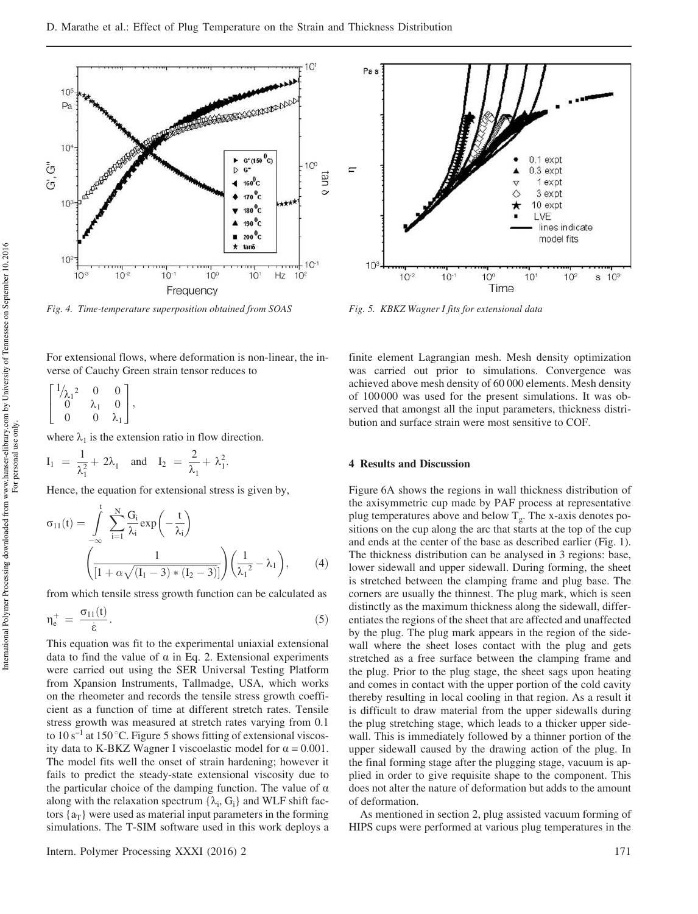

*Fig. 4. Time-temperature superposition obtained from SOAS Fig. 5. KBKZ Wagner I fits for extensional data*

For extensional flows, where deformation is non-linear, the inverse of Cauchy Green strain tensor reduces to

$$
\begin{bmatrix} 1/\lambda_1^2 & 0 & 0 \\ 0 & \lambda_1 & 0 \\ 0 & 0 & \lambda_1 \end{bmatrix},
$$

where  $\lambda_1$  is the extension ratio in flow direction.

$$
I_1 = \frac{1}{\lambda_1^2} + 2\lambda_1
$$
 and  $I_2 = \frac{2}{\lambda_1} + \lambda_1^2$ .

Hence, the equation for extensional stress is given by,

$$
\sigma_{11}(t) = \int_{-\infty}^{t} \sum_{i=1}^{N} \frac{G_i}{\lambda_i} exp\left(-\frac{t}{\lambda_i}\right)
$$

$$
\left(\frac{1}{\left[1 + \alpha \sqrt{(I_1 - 3) * (I_2 - 3)}\right]}\right) \left(\frac{1}{\lambda_1^2} - \lambda_1\right),\tag{4}
$$

from which tensile stress growth function can be calculated as

$$
\eta_e^+ = \frac{\sigma_{11}(t)}{\dot{\epsilon}}.\tag{5}
$$

This equation was fit to the experimental uniaxial extensional data to find the value of  $\alpha$  in Eq. 2. Extensional experiments were carried out using the SER Universal Testing Platform from Xpansion Instruments, Tallmadge, USA, which works on the rheometer and records the tensile stress growth coefficient as a function of time at different stretch rates. Tensile stress growth was measured at stretch rates varying from 0.1 to  $10 s^{-1}$  at  $150 °C$ . Figure 5 shows fitting of extensional viscosity data to K-BKZ Wagner I viscoelastic model for  $\alpha = 0.001$ . The model fits well the onset of strain hardening; however it fails to predict the steady-state extensional viscosity due to the particular choice of the damping function. The value of  $\alpha$ along with the relaxation spectrum  $\{\lambda_i, G_i\}$  and WLF shift factors  $\{a_T\}$  were used as material input parameters in the forming simulations. The T-SIM software used in this work deploys a



finite element Lagrangian mesh. Mesh density optimization was carried out prior to simulations. Convergence was achieved above mesh density of 60 000 elements. Mesh density of 100 000 was used for the present simulations. It was observed that amongst all the input parameters, thickness distribution and surface strain were most sensitive to COF.

## 4 Results and Discussion

Figure 6A shows the regions in wall thickness distribution of the axisymmetric cup made by PAF process at representative plug temperatures above and below  $T_g$ . The x-axis denotes positions on the cup along the arc that starts at the top of the cup and ends at the center of the base as described earlier (Fig. 1). The thickness distribution can be analysed in 3 regions: base, lower sidewall and upper sidewall. During forming, the sheet is stretched between the clamping frame and plug base. The corners are usually the thinnest. The plug mark, which is seen distinctly as the maximum thickness along the sidewall, differentiates the regions of the sheet that are affected and unaffected by the plug. The plug mark appears in the region of the sidewall where the sheet loses contact with the plug and gets stretched as a free surface between the clamping frame and the plug. Prior to the plug stage, the sheet sags upon heating and comes in contact with the upper portion of the cold cavity thereby resulting in local cooling in that region. As a result it is difficult to draw material from the upper sidewalls during the plug stretching stage, which leads to a thicker upper sidewall. This is immediately followed by a thinner portion of the upper sidewall caused by the drawing action of the plug. In the final forming stage after the plugging stage, vacuum is applied in order to give requisite shape to the component. This does not alter the nature of deformation but adds to the amount of deformation.

As mentioned in section 2, plug assisted vacuum forming of HIPS cups were performed at various plug temperatures in the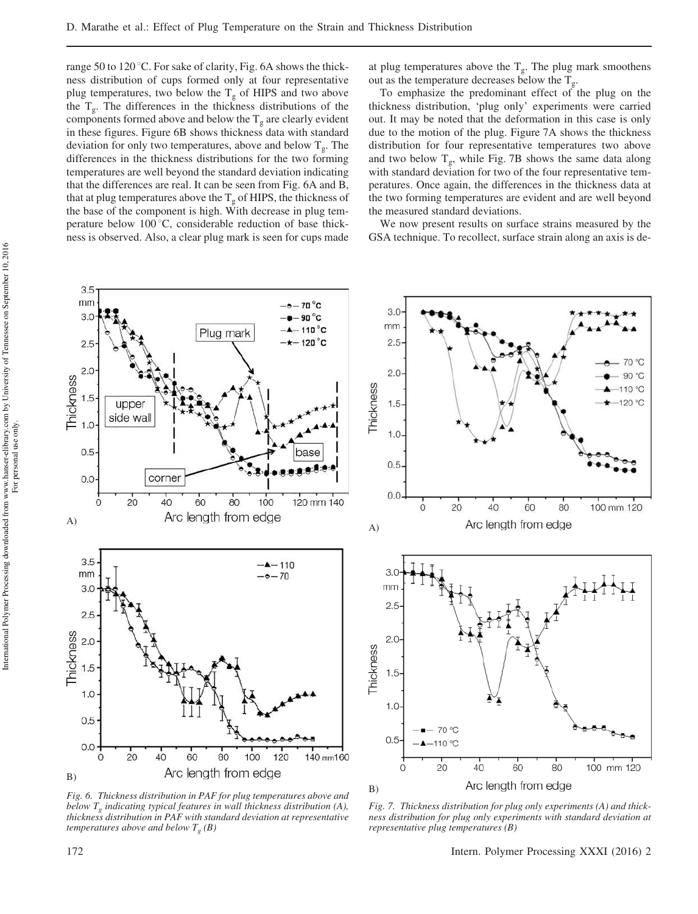range 50 to 120 $\degree$ C. For sake of clarity, Fig. 6A shows the thickness distribution of cups formed only at four representative plug temperatures, two below the  $T_g$  of HIPS and two above the  $T_g$ . The differences in the thickness distributions of the components formed above and below the  $T_g$  are clearly evident in these figures. Figure 6B shows thickness data with standard deviation for only two temperatures, above and below  $T_g$ . The differences in the thickness distributions for the two forming temperatures are well beyond the standard deviation indicating that the differences are real. It can be seen from Fig. 6A and B, that at plug temperatures above the  $T_g$  of HIPS, the thickness of the base of the component is high. With decrease in plug temperature below  $100^{\circ}$ C, considerable reduction of base thickness is observed. Also, a clear plug mark is seen for cups made at plug temperatures above the  $T_g$ . The plug mark smoothens out as the temperature decreases below the  $T_g$ .

To emphasize the predominant effect of the plug on the thickness distribution, 'plug only' experiments were carried out. It may be noted that the deformation in this case is only due to the motion of the plug. Figure 7A shows the thickness distribution for four representative temperatures two above and two below  $T_g$ , while Fig. 7B shows the same data along with standard deviation for two of the four representative temperatures. Once again, the differences in the thickness data at the two forming temperatures are evident and are well beyond the measured standard deviations.

We now present results on surface strains measured by the GSA technique. To recollect, surface strain along an axis is de-



*Fig. 6. Thickness distribution in PAF for plug temperatures above and below T<sup>g</sup> indicating typical features in wall thickness distribution (A), thickness distribution in PAF with standard deviation at representative temperatures above and below T<sup>g</sup> (B)*

*Fig. 7. Thickness distribution for plug only experiments (A) and thickness distribution for plug only experiments with standard deviation at representative plug temperatures (B)*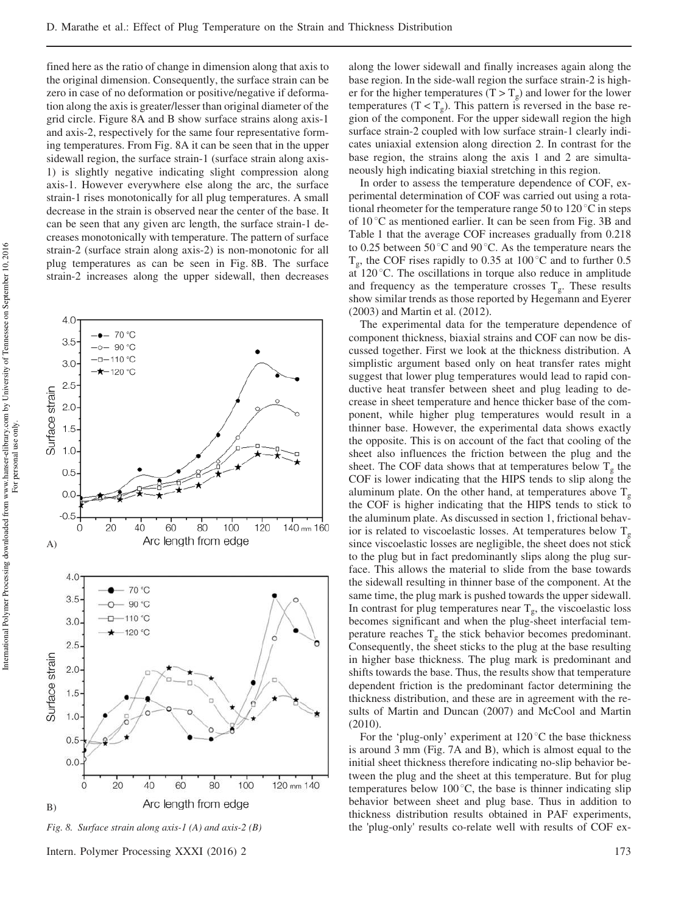fined here as the ratio of change in dimension along that axis to the original dimension. Consequently, the surface strain can be zero in case of no deformation or positive/negative if deformation along the axis is greater/lesser than original diameter of the grid circle. Figure 8A and B show surface strains along axis-1 and axis-2, respectively for the same four representative forming temperatures. From Fig. 8A it can be seen that in the upper sidewall region, the surface strain-1 (surface strain along axis-1) is slightly negative indicating slight compression along axis-1. However everywhere else along the arc, the surface strain-1 rises monotonically for all plug temperatures. A small decrease in the strain is observed near the center of the base. It can be seen that any given arc length, the surface strain-1 decreases monotonically with temperature. The pattern of surface strain-2 (surface strain along axis-2) is non-monotonic for all plug temperatures as can be seen in Fig. 8B. The surface strain-2 increases along the upper sidewall, then decreases



*Fig. 8. Surface strain along axis-1 (A) and axis-2 (B)*

Intern. Polymer Processing XXXI (2016) 2 173

along the lower sidewall and finally increases again along the base region. In the side-wall region the surface strain-2 is higher for the higher temperatures (T  $>$  T<sub>g</sub>) and lower for the lower temperatures  $(T < T_g)$ . This pattern is reversed in the base region of the component. For the upper sidewall region the high surface strain-2 coupled with low surface strain-1 clearly indicates uniaxial extension along direction 2. In contrast for the base region, the strains along the axis 1 and 2 are simultaneously high indicating biaxial stretching in this region.

In order to assess the temperature dependence of COF, experimental determination of COF was carried out using a rotational rheometer for the temperature range 50 to  $120\degree\text{C}$  in steps of  $10^{\circ}$ C as mentioned earlier. It can be seen from Fig. 3B and Table 1 that the average COF increases gradually from 0.218 to 0.25 between 50 $^{\circ}$ C and 90 $^{\circ}$ C. As the temperature nears the  $T_g$ , the COF rises rapidly to 0.35 at 100 °C and to further 0.5 at  $120^{\circ}$ C. The oscillations in torque also reduce in amplitude and frequency as the temperature crosses  $T_g$ . These results show similar trends as those reported by Hegemann and Eyerer (2003) and Martin et al. (2012).

The experimental data for the temperature dependence of component thickness, biaxial strains and COF can now be discussed together. First we look at the thickness distribution. A simplistic argument based only on heat transfer rates might suggest that lower plug temperatures would lead to rapid conductive heat transfer between sheet and plug leading to decrease in sheet temperature and hence thicker base of the component, while higher plug temperatures would result in a thinner base. However, the experimental data shows exactly the opposite. This is on account of the fact that cooling of the sheet also influences the friction between the plug and the sheet. The COF data shows that at temperatures below  $T_g$  the COF is lower indicating that the HIPS tends to slip along the aluminum plate. On the other hand, at temperatures above  $T_{g}$ the COF is higher indicating that the HIPS tends to stick to the aluminum plate. As discussed in section 1, frictional behavior is related to viscoelastic losses. At temperatures below  $T_g$ since viscoelastic losses are negligible, the sheet does not stick to the plug but in fact predominantly slips along the plug surface. This allows the material to slide from the base towards the sidewall resulting in thinner base of the component. At the same time, the plug mark is pushed towards the upper sidewall. In contrast for plug temperatures near  $T_g$ , the viscoelastic loss becomes significant and when the plug-sheet interfacial temperature reaches  $T_g$  the stick behavior becomes predominant. Consequently, the sheet sticks to the plug at the base resulting in higher base thickness. The plug mark is predominant and shifts towards the base. Thus, the results show that temperature dependent friction is the predominant factor determining the thickness distribution, and these are in agreement with the results of Martin and Duncan (2007) and McCool and Martin  $(2010)$ 

For the 'plug-only' experiment at  $120\degree C$  the base thickness is around 3 mm (Fig. 7A and B), which is almost equal to the initial sheet thickness therefore indicating no-slip behavior between the plug and the sheet at this temperature. But for plug temperatures below 100 $^{\circ}$ C, the base is thinner indicating slip behavior between sheet and plug base. Thus in addition to thickness distribution results obtained in PAF experiments, the 'plug-only' results co-relate well with results of COF ex-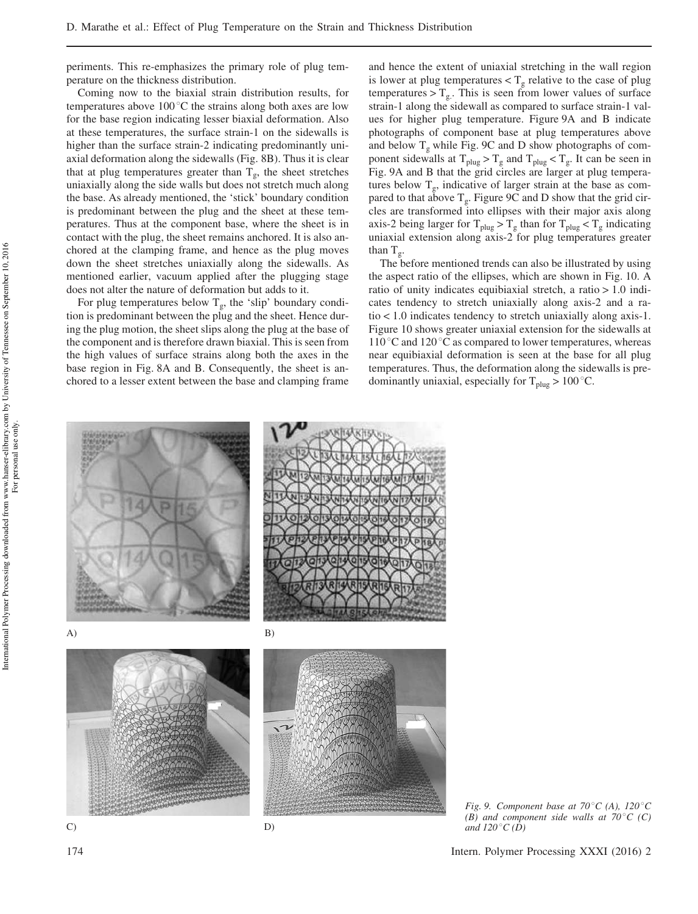periments. This re-emphasizes the primary role of plug temperature on the thickness distribution.

Coming now to the biaxial strain distribution results, for temperatures above  $100^{\circ}$ C the strains along both axes are low for the base region indicating lesser biaxial deformation. Also at these temperatures, the surface strain-1 on the sidewalls is higher than the surface strain-2 indicating predominantly uniaxial deformation along the sidewalls (Fig. 8B). Thus it is clear that at plug temperatures greater than  $T_g$ , the sheet stretches uniaxially along the side walls but does not stretch much along the base. As already mentioned, the 'stick' boundary condition is predominant between the plug and the sheet at these temperatures. Thus at the component base, where the sheet is in contact with the plug, the sheet remains anchored. It is also anchored at the clamping frame, and hence as the plug moves down the sheet stretches uniaxially along the sidewalls. As mentioned earlier, vacuum applied after the plugging stage does not alter the nature of deformation but adds to it.

For plug temperatures below  $T_g$ , the 'slip' boundary condition is predominant between the plug and the sheet. Hence during the plug motion, the sheet slips along the plug at the base of the component and is therefore drawn biaxial. This is seen from the high values of surface strains along both the axes in the base region in Fig. 8A and B. Consequently, the sheet is anchored to a lesser extent between the base and clamping frame and hence the extent of uniaxial stretching in the wall region is lower at plug temperatures  $(T_g$  relative to the case of plug temperatures  $> T_{g}$ . This is seen from lower values of surface strain-1 along the sidewall as compared to surface strain-1 values for higher plug temperature. Figure 9A and B indicate photographs of component base at plug temperatures above and below  $T_g$  while Fig. 9C and D show photographs of component sidewalls at  $T_{\text{plug}} > T_g$  and  $T_{\text{plug}} < T_g$ . It can be seen in Fig. 9A and B that the grid circles are larger at plug temperatures below  $T_g$ , indicative of larger strain at the base as compared to that above  $T_g$ . Figure 9C and D show that the grid circles are transformed into ellipses with their major axis along axis-2 being larger for  $T_{\text{plug}} > T_g$  than for  $T_{\text{plug}} < T_g$  indicating uniaxial extension along axis-2 for plug temperatures greater than  $T_g$ .

The before mentioned trends can also be illustrated by using the aspect ratio of the ellipses, which are shown in Fig. 10. A ratio of unity indicates equibiaxial stretch, a ratio > 1.0 indicates tendency to stretch uniaxially along axis-2 and a ratio < 1.0 indicates tendency to stretch uniaxially along axis-1. Figure 10 shows greater uniaxial extension for the sidewalls at  $110^{\circ}$ C and  $120^{\circ}$ C as compared to lower temperatures, whereas near equibiaxial deformation is seen at the base for all plug temperatures. Thus, the deformation along the sidewalls is predominantly uniaxial, especially for  $T_{\text{plug}} > 100^{\circ}$ C.



*Fig. 9. Component base at 70°C (A), 120°C*  $(B)$  and component side walls at  $70^{\circ}$ C (C) *and*  $120^{\circ}C(D)$ 

International Polymer Processing downloaded from www.hanser-elibrary.com by University of Tennessee on September 10, 2016<br>For personal use only. International Polymer Processing downloaded from www.hanser-elibrary.com by University of Tennessee on September 10, 2016 For personal use only.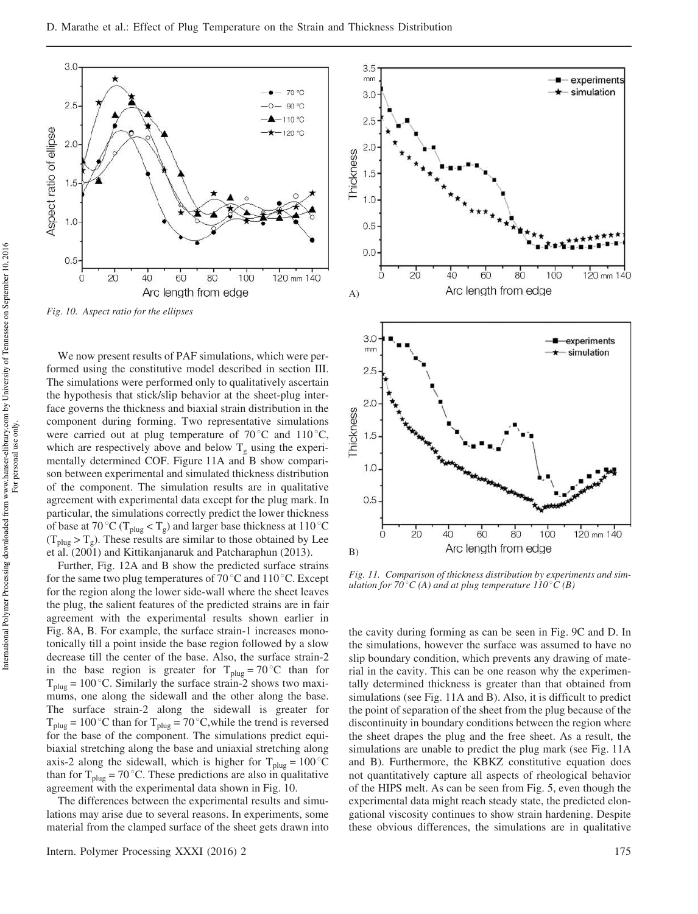

*Fig. 10. Aspect ratio for the ellipses*

We now present results of PAF simulations, which were performed using the constitutive model described in section III. The simulations were performed only to qualitatively ascertain the hypothesis that stick/slip behavior at the sheet-plug interface governs the thickness and biaxial strain distribution in the component during forming. Two representative simulations were carried out at plug temperature of  $70^{\circ}$ C and  $110^{\circ}$ C, which are respectively above and below  $T_g$  using the experimentally determined COF. Figure 11A and B show comparison between experimental and simulated thickness distribution of the component. The simulation results are in qualitative agreement with experimental data except for the plug mark. In particular, the simulations correctly predict the lower thickness of base at 70 °C (T<sub>plug</sub> < T<sub>g</sub>) and larger base thickness at 110 °C  $(T_{\text{plug}} > T_g)$ . These results are similar to those obtained by Lee et al. (2001) and Kittikanjanaruk and Patcharaphun (2013).

Further, Fig. 12A and B show the predicted surface strains for the same two plug temperatures of  $70^{\circ}$ C and  $110^{\circ}$ C. Except for the region along the lower side-wall where the sheet leaves the plug, the salient features of the predicted strains are in fair agreement with the experimental results shown earlier in Fig. 8A, B. For example, the surface strain-1 increases monotonically till a point inside the base region followed by a slow decrease till the center of the base. Also, the surface strain-2 in the base region is greater for  $T_{\text{plug}} = 70^{\circ} \text{C}$  than for  $T_{\text{plug}} = 100\degree C$ . Similarly the surface strain-2 shows two maximums, one along the sidewall and the other along the base. The surface strain-2 along the sidewall is greater for  $T_{\text{plug}} = 100\degree C$  than for  $T_{\text{plug}} = 70\degree C$ , while the trend is reversed for the base of the component. The simulations predict equibiaxial stretching along the base and uniaxial stretching along axis-2 along the sidewall, which is higher for  $T_{\text{plug}} = 100\degree C$ than for  $T_{\text{plug}} = 70 \degree C$ . These predictions are also in qualitative agreement with the experimental data shown in Fig. 10.

The differences between the experimental results and simulations may arise due to several reasons. In experiments, some material from the clamped surface of the sheet gets drawn into



*Fig. 11. Comparison of thickness distribution by experiments and simulation for 70<sup>* $\circ$ *</sup>C (A) and at plug temperature 110* $\circ$ *C (B)* 

the cavity during forming as can be seen in Fig. 9C and D. In the simulations, however the surface was assumed to have no slip boundary condition, which prevents any drawing of material in the cavity. This can be one reason why the experimentally determined thickness is greater than that obtained from simulations (see Fig. 11A and B). Also, it is difficult to predict the point of separation of the sheet from the plug because of the discontinuity in boundary conditions between the region where the sheet drapes the plug and the free sheet. As a result, the simulations are unable to predict the plug mark (see Fig. 11A and B). Furthermore, the KBKZ constitutive equation does not quantitatively capture all aspects of rheological behavior of the HIPS melt. As can be seen from Fig. 5, even though the experimental data might reach steady state, the predicted elongational viscosity continues to show strain hardening. Despite these obvious differences, the simulations are in qualitative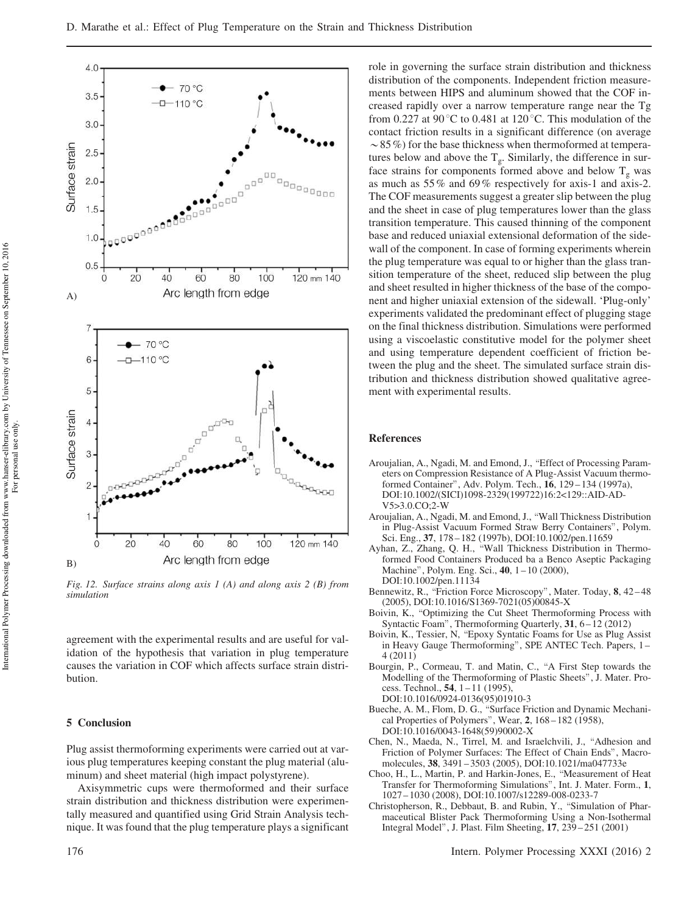

*Fig. 12. Surface strains along axis 1 (A) and along axis 2 (B) from simulation*

agreement with the experimental results and are useful for validation of the hypothesis that variation in plug temperature causes the variation in COF which affects surface strain distribution.

#### 5 Conclusion

Plug assist thermoforming experiments were carried out at various plug temperatures keeping constant the plug material (aluminum) and sheet material (high impact polystyrene).

Axisymmetric cups were thermoformed and their surface strain distribution and thickness distribution were experimentally measured and quantified using Grid Strain Analysis technique. It was found that the plug temperature plays a significant role in governing the surface strain distribution and thickness distribution of the components. Independent friction measurements between HIPS and aluminum showed that the COF increased rapidly over a narrow temperature range near the Tg from 0.227 at 90 $^{\circ}$ C to 0.481 at 120 $^{\circ}$ C. This modulation of the contact friction results in a significant difference (on average  $\sim$  85%) for the base thickness when thermoformed at temperatures below and above the  $T_g$ . Similarly, the difference in surface strains for components formed above and below  $T_g$  was as much as 55% and 69% respectively for axis-1 and axis-2. The COF measurements suggest a greater slip between the plug and the sheet in case of plug temperatures lower than the glass transition temperature. This caused thinning of the component base and reduced uniaxial extensional deformation of the sidewall of the component. In case of forming experiments wherein the plug temperature was equal to or higher than the glass transition temperature of the sheet, reduced slip between the plug and sheet resulted in higher thickness of the base of the component and higher uniaxial extension of the sidewall. 'Plug-only' experiments validated the predominant effect of plugging stage on the final thickness distribution. Simulations were performed using a viscoelastic constitutive model for the polymer sheet and using temperature dependent coefficient of friction between the plug and the sheet. The simulated surface strain distribution and thickness distribution showed qualitative agreement with experimental results.

#### References

- Aroujalian, A., Ngadi, M. and Emond, J., "Effect of Processing Parameters on Compression Resistance of A Plug-Assist Vacuum thermoformed Container", Adv. Polym. Tech., 16, 129 – 134 (1997a), DOI:10.1002/(SICI)1098-2329(199722)16:2<129::AID-AD-V5>3.0.CO;2-W
- Aroujalian, A., Ngadi, M. and Emond, J., \Wall Thickness Distribution in Plug-Assist Vacuum Formed Straw Berry Containers", Polym. Sci. Eng., 37, 178 – 182 (1997b), DOI:10.1002/pen.11659
- Ayhan, Z., Zhang, Q. H., \Wall Thickness Distribution in Thermoformed Food Containers Produced ba a Benco Aseptic Packaging Machine", Polym. Eng. Sci., 40, 1 – 10 (2000), DOI:10.1002/pen.11134
- Bennewitz, R., "Friction Force Microscopy", Mater. Today, 8, 42-48 (2005), DOI:10.1016/S1369-7021(05)00845-X
- Boivin, K., "Optimizing the Cut Sheet Thermoforming Process with Syntactic Foam", Thermoforming Quarterly, 31, 6-12 (2012)
- Boivin, K., Tessier, N, \Epoxy Syntatic Foams for Use as Plug Assist in Heavy Gauge Thermoforming", SPE ANTEC Tech. Papers, 1 – 4 (2011)
- Bourgin, P., Cormeau, T. and Matin, C., "A First Step towards the Modelling of the Thermoforming of Plastic Sheets", J. Mater. Process. Technol., 54, 1-11 (1995) DOI:10.1016/0924-0136(95)01910-3
- Bueche, A. M., Flom, D. G., "Surface Friction and Dynamic Mechanical Properties of Polymers", Wear, 2, 168 – 182 (1958), DOI:10.1016/0043-1648(59)90002-X
- Chen, N., Maeda, N., Tirrel, M. and Israelchvili, J., "Adhesion and Friction of Polymer Surfaces: The Effect of Chain Ends", Macromolecules, 38, 3491 – 3503 (2005), DOI:10.1021/ma047733e
- Choo, H., L., Martin, P. and Harkin-Jones, E., "Measurement of Heat Transfer for Thermoforming Simulations", Int. J. Mater. Form., 1, 1027 – 1030 (2008), DOI:10.1007/s12289-008-0233-7
- Christopherson, R., Debbaut, B. and Rubin, Y., "Simulation of Pharmaceutical Blister Pack Thermoforming Using a Non-Isothermal Integral Model", J. Plast. Film Sheeting, 17, 239 – 251 (2001)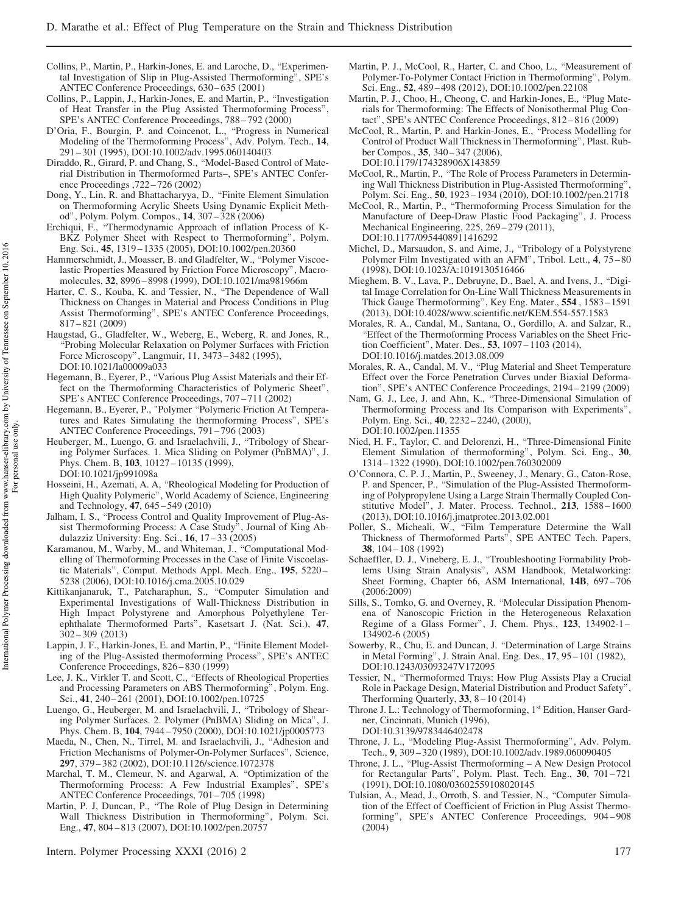- Collins, P., Martin, P., Harkin-Jones, E. and Laroche, D., "Experimental Investigation of Slip in Plug-Assisted Thermoforming", SPE's ANTEC Conference Proceedings, 630 – 635 (2001)
- Collins, P., Lappin, J., Harkin-Jones, E. and Martin, P., \Investigation of Heat Transfer in the Plug Assisted Thermoforming Process", SPE's ANTEC Conference Proceedings, 788 – 792 (2000)
- D'Oria, F., Bourgin, P. and Coincenot, L., \Progress in Numerical Modeling of the Thermoforming Process", Adv. Polym. Tech., 14, 291 – 301 (1995), DOI:10.1002/adv.1995.060140403
- Diraddo, R., Girard, P. and Chang, S., "Model-Based Control of Material Distribution in Thermoformed Parts–, SPE's ANTEC Conference Proceedings ,722 – 726 (2002)
- Dong, Y., Lin, R. and Bhattacharyya, D., "Finite Element Simulation on Thermoforming Acrylic Sheets Using Dynamic Explicit Method", Polym. Polym. Compos., 14, 307 – 328 (2006)
- Erchiqui, F., "Thermodynamic Approach of inflation Process of K-BKZ Polymer Sheet with Respect to Thermoforming", Polym. Eng. Sci., 45, 1319 – 1335 (2005), DOI:10.1002/pen.20360
- Hammerschmidt, J., Moasser, B. and Gladfelter, W., "Polymer Viscoelastic Properties Measured by Friction Force Microscopy", Macromolecules, 32, 8996 – 8998 (1999), DOI:10.1021/ma981966m
- Harter, C. S., Kouba, K. and Tessier, N., "The Dependence of Wall Thickness on Changes in Material and Process Conditions in Plug Assist Thermoforming", SPE's ANTEC Conference Proceedings, 817 – 821 (2009)
- Haugstad, G., Gladfelter, W., Weberg, E., Weberg, R. and Jones, R., \Probing Molecular Relaxation on Polymer Surfaces with Friction Force Microscopy", Langmuir, 11, 3473 – 3482 (1995), DOI:10.1021/la00009a033
- Hegemann, B., Eyerer, P., "Various Plug Assist Materials and their Effect on the Thermoforming Characteristics of Polymeric Sheet", SPE's ANTEC Conference Proceedings, 707 – 711 (2002)
- Hegemann, B., Eyerer, P., "Polymer "Polymeric Friction At Temperatures and Rates Simulating the thermoforming Process", SPE's ANTEC Conference Proceedings, 791 – 796 (2003)
- Heuberger, M., Luengo, G. and Israelachvili, J., "Tribology of Shearing Polymer Surfaces. 1. Mica Sliding on Polymer (PnBMA)", J. Phys. Chem. B, 103, 10127 - 10135 (1999), DOI:10.1021/jp991098a
- Hosseini, H., Azemati, A. A, "Rheological Modeling for Production of High Quality Polymeric", World Academy of Science, Engineering and Technology, 47, 645 – 549 (2010)
- Jalham, I. S., "Process Control and Quality Improvement of Plug-Assist Thermoforming Process: A Case Study<sup>5</sup>, Journal of King Abdulazziz University: Eng. Sci., 16, 17 – 33 (2005)
- Karamanou, M., Warby, M., and Whiteman, J., "Computational Modelling of Thermoforming Processes in the Case of Finite Viscoelastic Materials", Comput. Methods Appl. Mech. Eng., 195, 5220 – 5238 (2006), DOI:10.1016/j.cma.2005.10.029
- Kittikanjanaruk, T., Patcharaphun, S., "Computer Simulation and Experimental Investigations of Wall-Thickness Distribution in High Impact Polystyrene and Amorphous Polyethylene Terephthalate Thermoformed Parts", Kasetsart J. (Nat. Sci.), 47, 302 – 309 (2013)
- Lappin, J. F., Harkin-Jones, E. and Martin, P., "Finite Element Modeling of the Plug-Assisted thermoforming Process", SPE's ANTEC Conference Proceedings, 826 – 830 (1999)
- Lee, J. K., Virkler T. and Scott, C., "Effects of Rheological Properties and Processing Parameters on ABS Thermoforming", Polym. Eng. Sci., 41, 240-261 (2001), DOI:10.1002/pen.10725
- Luengo, G., Heuberger, M. and Israelachvili, J., "Tribology of Shearing Polymer Surfaces. 2. Polymer (PnBMA) Sliding on Mica", J. Phys. Chem. B, 104, 7944 – 7950 (2000), DOI:10.1021/jp0005773
- Maeda, N., Chen, N., Tirrel, M. and Israelachvili, J., "Adhesion and Friction Mechanisms of Polymer-On-Polymer Surfaces", Science, 297, 379 – 382 (2002), DOI:10.1126/science.1072378
- Marchal, T. M., Clemeur, N. and Agarwal, A. "Optimization of the Thermoforming Process: A Few Industrial Examples", SPE's ANTEC Conference Proceedings, 701 – 705 (1998)
- Martin, P. J, Duncan, P., \The Role of Plug Design in Determining Wall Thickness Distribution in Thermoforming", Polym. Sci. Eng., 47, 804 – 813 (2007), DOI:10.1002/pen.20757
- Intern. Polymer Processing XXXI (2016) 2 177
- Martin, P. J., McCool, R., Harter, C. and Choo, L., "Measurement of Polymer-To-Polymer Contact Friction in Thermoforming", Polym. Sci. Eng., 52, 489 – 498 (2012), DOI:10.1002/pen.22108
- Martin, P. J., Choo, H., Cheong, C. and Harkin-Jones, E., "Plug Materials for Thermoforming: The Effects of Nonisothermal Plug Contact", SPE's ANTEC Conference Proceedings, 812 – 816 (2009)
- McCool, R., Martin, P. and Harkin-Jones, E., "Process Modelling for Control of Product Wall Thickness in Thermoforming", Plast. Rubber Compos., 35, 340 – 347 (2006), DOI:10.1179/174328906X143859
- McCool, R., Martin, P., "The Role of Process Parameters in Determining Wall Thickness Distribution in Plug-Assisted Thermoforming", Polym. Sci. Eng., 50, 1923 – 1934 (2010), DOI:10.1002/pen.21718
- McCool, R., Martin, P., "Thermoforming Process Simulation for the Manufacture of Deep-Draw Plastic Food Packaging", J. Process Mechanical Engineering, 225, 269 – 279 (2011), DOI:10.1177/0954408911416292
- Michel, D., Marsaudon, S. and Aime, J., "Tribology of a Polystyrene Polymer Film Investigated with an AFM", Tribol. Lett., 4, 75–80 (1998), DOI:10.1023/A:1019130516466
- Mieghem, B. V., Lava, P., Debruyne, D., Bael, A. and Ivens, J., "Digital Image Correlation for On-Line Wall Thickness Measurements in Thick Gauge Thermoforming", Key Eng. Mater., 554 , 1583 – 1591 (2013), DOI:10.4028/www.scientific.net/KEM.554-557.1583
- Morales, R. A., Candal, M., Santana, O., Gordillo, A. and Salzar, R., \Effect of the Thermoforming Process Variables on the Sheet Friction Coefficient", Mater. Des., 53, 1097 – 1103 (2014), DOI:10.1016/j.matdes.2013.08.009
- Morales, R. A., Candal, M. V., "Plug Material and Sheet Temperature Effect over the Force Penetration Curves under Biaxial Deformation", SPE's ANTEC Conference Proceedings, 2194 – 2199 (2009)
- Nam, G. J., Lee, J. and Ahn, K., "Three-Dimensional Simulation of Thermoforming Process and Its Comparison with Experiments", Polym. Eng. Sci., 40, 2232 – 2240, (2000), DOI:10.1002/pen.11355
- Nied, H. F., Taylor, C. and Delorenzi, H., "Three-Dimensional Finite Element Simulation of thermoforming", Polym. Sci. Eng., 30, 1314 – 1322 (1990), DOI:10.1002/pen.760302009
- O'Connora, C. P. J., Martin, P., Sweeney, J., Menary, G., Caton-Rose, P. and Spencer, P., "Simulation of the Plug-Assisted Thermoforming of Polypropylene Using a Large Strain Thermally Coupled Constitutive Model", J. Mater. Process. Technol., 213, 1588 – 1600 (2013), DOI:10.1016/j.jmatprotec.2013.02.001
- Poller, S., Micheali, W., "Film Temperature Determine the Wall Thickness of Thermoformed Parts", SPE ANTEC Tech. Papers, 38, 104 – 108 (1992)
- Schaeffler, D. J., Vineberg, E. J., "Troubleshooting Formability Problems Using Strain Analysis", ASM Handbook, Metalworking: Sheet Forming, Chapter 66, ASM International, 14B, 697-706 (2006:2009)
- Sills, S., Tomko, G. and Overney, R. "Molecular Dissipation Phenomena of Nanoscopic Friction in the Heterogeneous Relaxation Regime of a Glass Former", J. Chem. Phys., 123, 134902-1 – 134902-6 (2005)
- Sowerby, R., Chu, E. and Duncan, J. "Determination of Large Strains in Metal Forming", J. Strain Anal. Eng. Des., 17, 95 – 101 (1982), DOI:10.1243/03093247V172095
- Tessier, N., "Thermoformed Trays: How Plug Assists Play a Crucial Role in Package Design, Material Distribution and Product Safety", Therforming Quarterly,  $33$ ,  $8 - 10$  (2014)
- Throne J. L.: Technology of Thermoforming, 1<sup>st</sup> Edition, Hanser Gardner, Cincinnati, Munich (1996),

DOI:10.3139/9783446402478

- Throne, J. L., "Modeling Plug-Assist Thermoforming", Adv. Polym. Tech., 9, 309 – 320 (1989), DOI:10.1002/adv.1989.060090405
- Throne, J. L., \Plug-Assist Thermoforming A New Design Protocol for Rectangular Parts", Polym. Plast. Tech. Eng., 30, 701-721 (1991), DOI:10.1080/03602559108020145
- Tulsian, A., Mead, J., Orroth, S. and Tessier, N., "Computer Simulation of the Effect of Coefficient of Friction in Plug Assist Thermoforming", SPE's ANTEC Conference Proceedings, 904 – 908 (2004)

10,2016